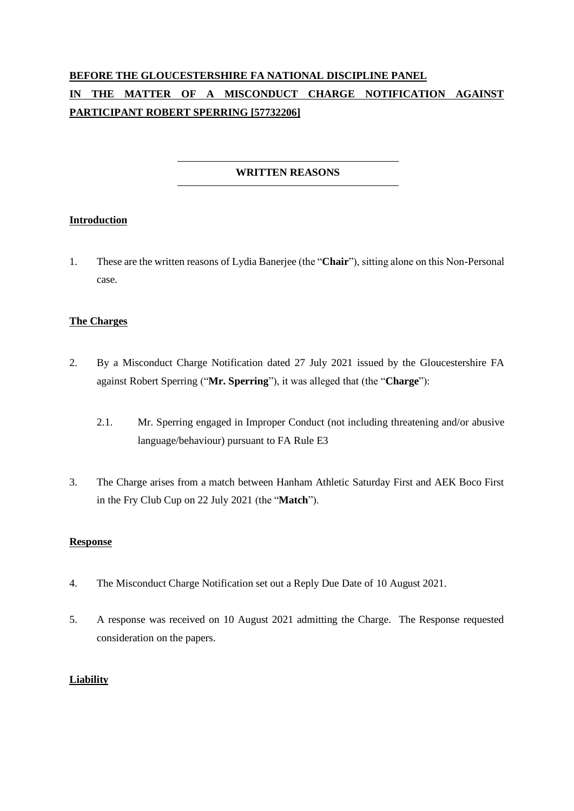# **BEFORE THE GLOUCESTERSHIRE FA NATIONAL DISCIPLINE PANEL IN THE MATTER OF A MISCONDUCT CHARGE NOTIFICATION AGAINST PARTICIPANT ROBERT SPERRING [57732206]**

## **WRITTEN REASONS**

#### **Introduction**

1. These are the written reasons of Lydia Banerjee (the "**Chair**"), sitting alone on this Non-Personal case.

#### **The Charges**

- 2. By a Misconduct Charge Notification dated 27 July 2021 issued by the Gloucestershire FA against Robert Sperring ("**Mr. Sperring**"), it was alleged that (the "**Charge**"):
	- 2.1. Mr. Sperring engaged in Improper Conduct (not including threatening and/or abusive language/behaviour) pursuant to FA Rule E3
- 3. The Charge arises from a match between Hanham Athletic Saturday First and AEK Boco First in the Fry Club Cup on 22 July 2021 (the "**Match**").

#### **Response**

- 4. The Misconduct Charge Notification set out a Reply Due Date of 10 August 2021.
- 5. A response was received on 10 August 2021 admitting the Charge. The Response requested consideration on the papers.

#### **Liability**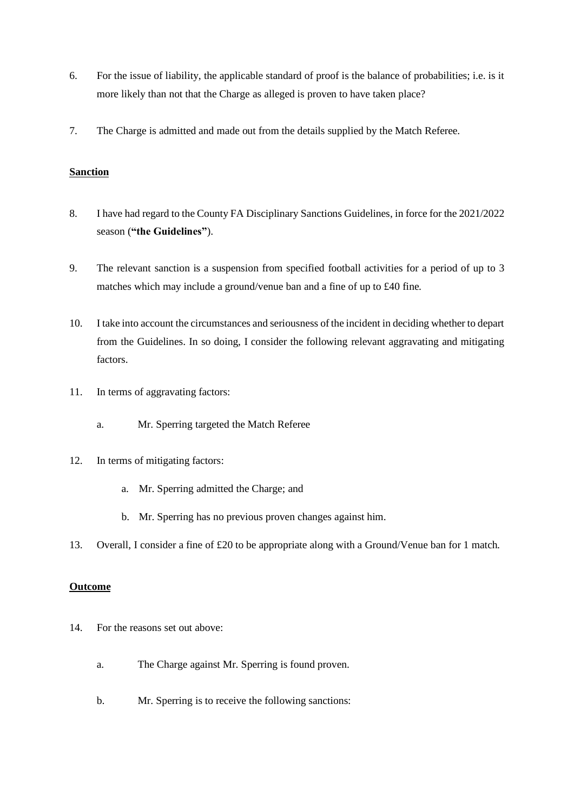- 6. For the issue of liability, the applicable standard of proof is the balance of probabilities; i.e. is it more likely than not that the Charge as alleged is proven to have taken place?
- 7. The Charge is admitted and made out from the details supplied by the Match Referee.

#### **Sanction**

- 8. I have had regard to the County FA Disciplinary Sanctions Guidelines, in force for the 2021/2022 season (**"the Guidelines"**).
- 9. The relevant sanction is a suspension from specified football activities for a period of up to 3 matches which may include a ground/venue ban and a fine of up to £40 fine.
- 10. I take into account the circumstances and seriousness of the incident in deciding whether to depart from the Guidelines. In so doing, I consider the following relevant aggravating and mitigating factors.
- 11. In terms of aggravating factors:
	- a. Mr. Sperring targeted the Match Referee
- 12. In terms of mitigating factors:
	- a. Mr. Sperring admitted the Charge; and
	- b. Mr. Sperring has no previous proven changes against him.
- 13. Overall, I consider a fine of £20 to be appropriate along with a Ground/Venue ban for 1 match.

### **Outcome**

- 14. For the reasons set out above:
	- a. The Charge against Mr. Sperring is found proven.
	- b. Mr. Sperring is to receive the following sanctions: